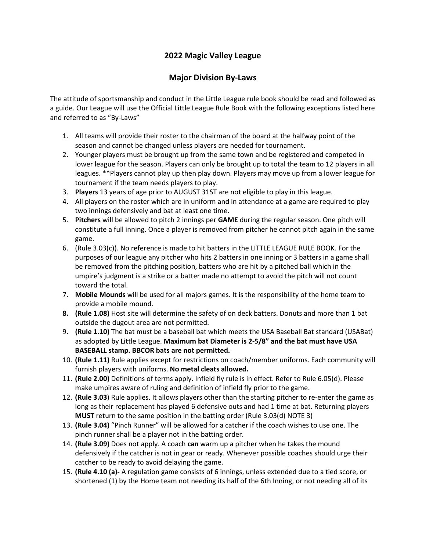## **2022 Magic Valley League**

## **Major Division By-Laws**

The attitude of sportsmanship and conduct in the Little League rule book should be read and followed as a guide. Our League will use the Official Little League Rule Book with the following exceptions listed here and referred to as "By-Laws"

- 1. All teams will provide their roster to the chairman of the board at the halfway point of the season and cannot be changed unless players are needed for tournament.
- 2. Younger players must be brought up from the same town and be registered and competed in lower league for the season. Players can only be brought up to total the team to 12 players in all leagues. \*\*Players cannot play up then play down. Players may move up from a lower league for tournament if the team needs players to play.
- 3. **Players** 13 years of age prior to AUGUST 31ST are not eligible to play in this league.
- 4. All players on the roster which are in uniform and in attendance at a game are required to play two innings defensively and bat at least one time.
- 5. **Pitchers** will be allowed to pitch 2 innings per **GAME** during the regular season. One pitch will constitute a full inning. Once a player is removed from pitcher he cannot pitch again in the same game.
- 6. (Rule 3.03(c)). No reference is made to hit batters in the LITTLE LEAGUE RULE BOOK. For the purposes of our league any pitcher who hits 2 batters in one inning or 3 batters in a game shall be removed from the pitching position, batters who are hit by a pitched ball which in the umpire's judgment is a strike or a batter made no attempt to avoid the pitch will not count toward the total.
- 7. **Mobile Mounds** will be used for all majors games. It is the responsibility of the home team to provide a mobile mound.
- **8. (Rule 1.08)** Host site will determine the safety of on deck batters. Donuts and more than 1 bat outside the dugout area are not permitted.
- 9. **(Rule 1.10)** The bat must be a baseball bat which meets the USA Baseball Bat standard (USABat) as adopted by Little League. **Maximum bat Diameter is 2-5/8" and the bat must have USA BASEBALL stamp. BBCOR bats are not permitted.**
- 10. **(Rule 1.11)** Rule applies except for restrictions on coach/member uniforms. Each community will furnish players with uniforms. **No metal cleats allowed.**
- 11. **(Rule 2.00)** Definitions of terms apply. Infield fly rule is in effect. Refer to Rule 6.05(d). Please make umpires aware of ruling and definition of infield fly prior to the game.
- 12. **(Rule 3.03**) Rule applies. It allows players other than the starting pitcher to re-enter the game as long as their replacement has played 6 defensive outs and had 1 time at bat. Returning players **MUST** return to the same position in the batting order (Rule 3.03(d) NOTE 3)
- 13. **(Rule 3.04)** "Pinch Runner" will be allowed for a catcher if the coach wishes to use one. The pinch runner shall be a player not in the batting order.
- 14. **(Rule 3.09)** Does not apply. A coach **can** warm up a pitcher when he takes the mound defensively if the catcher is not in gear or ready. Whenever possible coaches should urge their catcher to be ready to avoid delaying the game.
- 15. **(Rule 4.10 (a)-** A regulation game consists of 6 innings, unless extended due to a tied score, or shortened (1) by the Home team not needing its half of the 6th Inning, or not needing all of its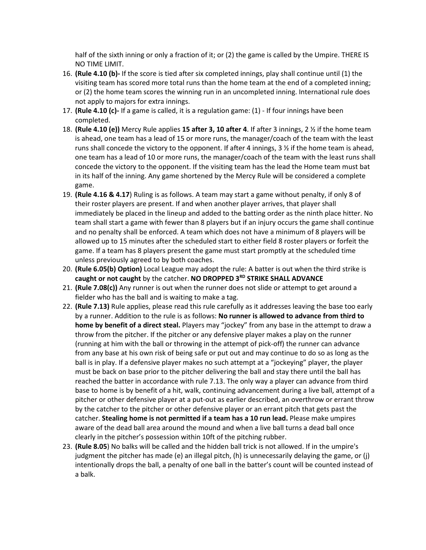half of the sixth inning or only a fraction of it; or (2) the game is called by the Umpire. THERE IS NO TIME LIMIT.

- 16. **(Rule 4.10 (b)-** If the score is tied after six completed innings, play shall continue until (1) the visiting team has scored more total runs than the home team at the end of a completed inning; or (2) the home team scores the winning run in an uncompleted inning. International rule does not apply to majors for extra innings.
- 17. **(Rule 4.10 (c)-** If a game is called, it is a regulation game: (1) If four innings have been completed.
- 18. **(Rule 4.10 (e))** Mercy Rule applies **15 after 3, 10 after 4**. If after 3 innings, 2 ½ if the home team is ahead, one team has a lead of 15 or more runs, the manager/coach of the team with the least runs shall concede the victory to the opponent. If after 4 innings,  $3\frac{1}{2}$  if the home team is ahead, one team has a lead of 10 or more runs, the manager/coach of the team with the least runs shall concede the victory to the opponent. If the visiting team has the lead the Home team must bat in its half of the inning. Any game shortened by the Mercy Rule will be considered a complete game.
- 19. **(Rule 4.16 & 4.17**) Ruling is as follows. A team may start a game without penalty, if only 8 of their roster players are present. If and when another player arrives, that player shall immediately be placed in the lineup and added to the batting order as the ninth place hitter. No team shall start a game with fewer than 8 players but if an injury occurs the game shall continue and no penalty shall be enforced. A team which does not have a minimum of 8 players will be allowed up to 15 minutes after the scheduled start to either field 8 roster players or forfeit the game. If a team has 8 players present the game must start promptly at the scheduled time unless previously agreed to by both coaches.
- 20. **(Rule 6.05(b) Option)** Local League may adopt the rule: A batter is out when the third strike is **caught or not caught** by the catcher. **NO DROPPED 3RD STRIKE SHALL ADVANCE**
- 21. **(Rule 7.08(c))** Any runner is out when the runner does not slide or attempt to get around a fielder who has the ball and is waiting to make a tag.
- 22. **(Rule 7.13)** Rule applies, please read this rule carefully as it addresses leaving the base too early by a runner. Addition to the rule is as follows: **No runner is allowed to advance from third to home by benefit of a direct steal.** Players may "jockey" from any base in the attempt to draw a throw from the pitcher. If the pitcher or any defensive player makes a play on the runner (running at him with the ball or throwing in the attempt of pick-off) the runner can advance from any base at his own risk of being safe or put out and may continue to do so as long as the ball is in play. If a defensive player makes no such attempt at a "jockeying" player, the player must be back on base prior to the pitcher delivering the ball and stay there until the ball has reached the batter in accordance with rule 7.13. The only way a player can advance from third base to home is by benefit of a hit, walk, continuing advancement during a live ball, attempt of a pitcher or other defensive player at a put-out as earlier described, an overthrow or errant throw by the catcher to the pitcher or other defensive player or an errant pitch that gets past the catcher. **Stealing home is not permitted if a team has a 10 run lead.** Please make umpires aware of the dead ball area around the mound and when a live ball turns a dead ball once clearly in the pitcher's possession within 10ft of the pitching rubber.
- 23. **(Rule 8.05**) No balks will be called and the hidden ball trick is not allowed. If in the umpire's judgment the pitcher has made (e) an illegal pitch, (h) is unnecessarily delaying the game, or (j) intentionally drops the ball, a penalty of one ball in the batter's count will be counted instead of a balk.